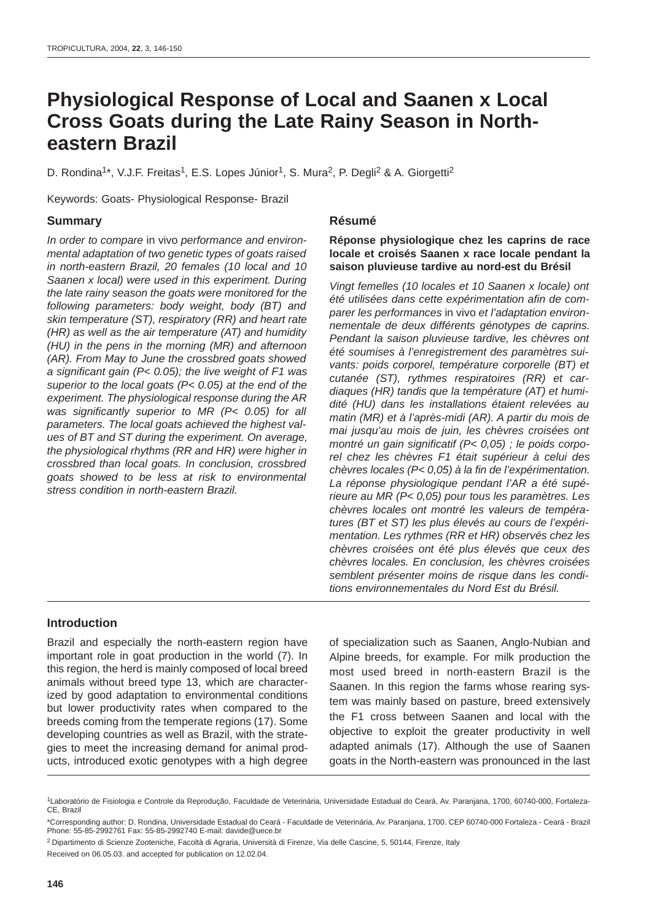# **Physiological Response of Local and Saanen x Local Cross Goats during the Late Rainy Season in Northeastern Brazil**

D. Rondina<sup>1\*</sup>, V.J.F. Freitas<sup>1</sup>, E.S. Lopes Júnior<sup>1</sup>, S. Mura<sup>2</sup>, P. Degli<sup>2</sup> & A. Giorgetti<sup>2</sup>

Keywords: Goats- Physiological Response- Brazil

# **Summary**

In order to compare in vivo performance and environmental adaptation of two genetic types of goats raised in north-eastern Brazil, 20 females (10 local and 10 Saanen x local) were used in this experiment. During the late rainy season the goats were monitored for the following parameters: body weight, body (BT) and skin temperature (ST), respiratory (RR) and heart rate (HR) as well as the air temperature (AT) and humidity (HU) in the pens in the morning (MR) and afternoon (AR). From May to June the crossbred goats showed a significant gain (P< 0.05); the live weight of F1 was superior to the local goats (P< 0.05) at the end of the experiment. The physiological response during the AR was significantly superior to MR (P< 0.05) for all parameters. The local goats achieved the highest values of BT and ST during the experiment. On average, the physiological rhythms (RR and HR) were higher in crossbred than local goats. In conclusion, crossbred goats showed to be less at risk to environmental stress condition in north-eastern Brazil.

# **Résumé**

### **Réponse physiologique chez les caprins de race locale et croisés Saanen x race locale pendant la saison pluvieuse tardive au nord-est du Brésil**

Vingt femelles (10 locales et 10 Saanen x locale) ont été utilisées dans cette expérimentation afin de comparer les performances in vivo et l'adaptation environnementale de deux différents génotypes de caprins. Pendant la saison pluvieuse tardive, les chèvres ont été soumises à l'enregistrement des paramètres suivants: poids corporel, température corporelle (BT) et cutanée (ST), rythmes respiratoires (RR) et cardiaques (HR) tandis que la température (AT) et humidité (HU) dans les installations étaient relevées au matin (MR) et à l'après-midi (AR). A partir du mois de mai jusqu'au mois de juin, les chèvres croisées ont montré un gain significatif (P< 0,05) ; le poids corporel chez les chèvres F1 était supérieur à celui des chèvres locales (P< 0,05) à la fin de l'expérimentation. La réponse physiologique pendant l'AR a été supérieure au MR (P< 0,05) pour tous les paramètres. Les chèvres locales ont montré les valeurs de températures (BT et ST) les plus élevés au cours de l'expérimentation. Les rythmes (RR et HR) observés chez les chèvres croisées ont été plus élevés que ceux des chèvres locales. En conclusion, les chèvres croisées semblent présenter moins de risque dans les conditions environnementales du Nord Est du Brésil.

# **Introduction**

Brazil and especially the north-eastern region have important role in goat production in the world (7). In this region, the herd is mainly composed of local breed animals without breed type 13, which are characterized by good adaptation to environmental conditions but lower productivity rates when compared to the breeds coming from the temperate regions (17). Some developing countries as well as Brazil, with the strategies to meet the increasing demand for animal products, introduced exotic genotypes with a high degree

of specialization such as Saanen, Anglo-Nubian and Alpine breeds, for example. For milk production the most used breed in north-eastern Brazil is the Saanen. In this region the farms whose rearing system was mainly based on pasture, breed extensively the F1 cross between Saanen and local with the objective to exploit the greater productivity in well adapted animals (17). Although the use of Saanen goats in the North-eastern was pronounced in the last

<sup>1</sup>Laboratório de Fisiologia e Controle da Reprodução, Faculdade de Veterinária, Universidade Estadual do Ceará, Av. Paranjana, 1700, 60740-000, Fortaleza-CE, Brazil

<sup>\*</sup>Corresponding author: D. Rondina, Universidade Estadual do Ceará - Faculdade de Veterinária, Av. Paranjana, 1700. CEP 60740-000 Fortaleza - Ceará - Brazil Phone: 55-85-2992761 Fax: 55-85-2992740 E-mail: davide@uece.br

<sup>2</sup> Dipartimento di Scienze Zooteniche, Facoltà di Agraria, Università di Firenze, Via delle Cascine, 5, 50144, Firenze, Italy Received on 06.05.03. and accepted for publication on 12.02.04.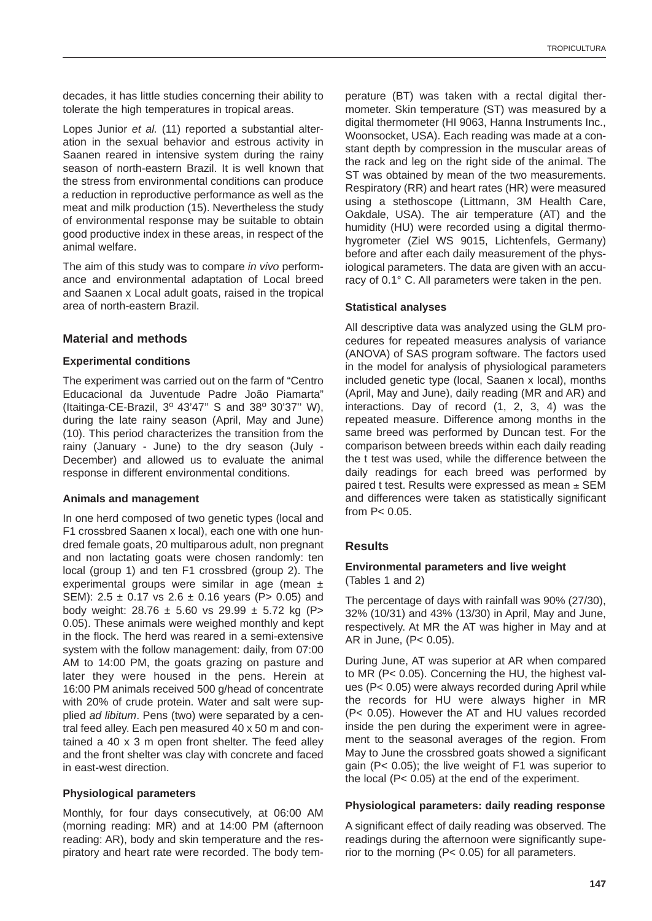decades, it has little studies concerning their ability to tolerate the high temperatures in tropical areas.

Lopes Junior et al. (11) reported a substantial alteration in the sexual behavior and estrous activity in Saanen reared in intensive system during the rainy season of north-eastern Brazil. It is well known that the stress from environmental conditions can produce a reduction in reproductive performance as well as the meat and milk production (15). Nevertheless the study of environmental response may be suitable to obtain good productive index in these areas, in respect of the animal welfare.

The aim of this study was to compare in vivo performance and environmental adaptation of Local breed and Saanen x Local adult goats, raised in the tropical area of north-eastern Brazil.

# **Material and methods**

### **Experimental conditions**

The experiment was carried out on the farm of "Centro Educacional da Juventude Padre João Piamarta" (Itaitinga-CE-Brazil, 3º 43'47" S and 38º 30'37" W), during the late rainy season (April, May and June) (10). This period characterizes the transition from the rainy (January - June) to the dry season (July - December) and allowed us to evaluate the animal response in different environmental conditions.

#### **Animals and management**

In one herd composed of two genetic types (local and F1 crossbred Saanen x local), each one with one hundred female goats, 20 multiparous adult, non pregnant and non lactating goats were chosen randomly: ten local (group 1) and ten F1 crossbred (group 2). The experimental groups were similar in age (mean  $\pm$ SEM): 2.5  $\pm$  0.17 vs 2.6  $\pm$  0.16 years (P > 0.05) and body weight:  $28.76 \pm 5.60$  vs  $29.99 \pm 5.72$  kg (P> 0.05). These animals were weighed monthly and kept in the flock. The herd was reared in a semi-extensive system with the follow management: daily, from 07:00 AM to 14:00 PM, the goats grazing on pasture and later they were housed in the pens. Herein at 16:00 PM animals received 500 g/head of concentrate with 20% of crude protein. Water and salt were supplied ad libitum. Pens (two) were separated by a central feed alley. Each pen measured 40 x 50 m and contained a 40 x 3 m open front shelter. The feed alley and the front shelter was clay with concrete and faced in east-west direction.

# **Physiological parameters**

Monthly, for four days consecutively, at 06:00 AM (morning reading: MR) and at 14:00 PM (afternoon reading: AR), body and skin temperature and the respiratory and heart rate were recorded. The body tem-

perature (BT) was taken with a rectal digital thermometer. Skin temperature (ST) was measured by a digital thermometer (HI 9063, Hanna Instruments Inc., Woonsocket, USA). Each reading was made at a constant depth by compression in the muscular areas of the rack and leg on the right side of the animal. The ST was obtained by mean of the two measurements. Respiratory (RR) and heart rates (HR) were measured using a stethoscope (Littmann, 3M Health Care, Oakdale, USA). The air temperature (AT) and the humidity (HU) were recorded using a digital thermohygrometer (Ziel WS 9015, Lichtenfels, Germany) before and after each daily measurement of the physiological parameters. The data are given with an accuracy of 0.1° C. All parameters were taken in the pen.

### **Statistical analyses**

All descriptive data was analyzed using the GLM procedures for repeated measures analysis of variance (ANOVA) of SAS program software. The factors used in the model for analysis of physiological parameters included genetic type (local, Saanen x local), months (April, May and June), daily reading (MR and AR) and interactions. Day of record (1, 2, 3, 4) was the repeated measure. Difference among months in the same breed was performed by Duncan test. For the comparison between breeds within each daily reading the t test was used, while the difference between the daily readings for each breed was performed by paired t test. Results were expressed as mean  $\pm$  SEM and differences were taken as statistically significant from P< 0.05.

# **Results**

### **Environmental parameters and live weight** (Tables 1 and 2)

The percentage of days with rainfall was 90% (27/30), 32% (10/31) and 43% (13/30) in April, May and June, respectively. At MR the AT was higher in May and at AR in June, (P< 0.05).

During June, AT was superior at AR when compared to MR (P< 0.05). Concerning the HU, the highest values (P< 0.05) were always recorded during April while the records for HU were always higher in MR (P< 0.05). However the AT and HU values recorded inside the pen during the experiment were in agreement to the seasonal averages of the region. From May to June the crossbred goats showed a significant gain (P< 0.05); the live weight of F1 was superior to the local (P< 0.05) at the end of the experiment.

#### **Physiological parameters: daily reading response**

A significant effect of daily reading was observed. The readings during the afternoon were significantly superior to the morning (P< 0.05) for all parameters.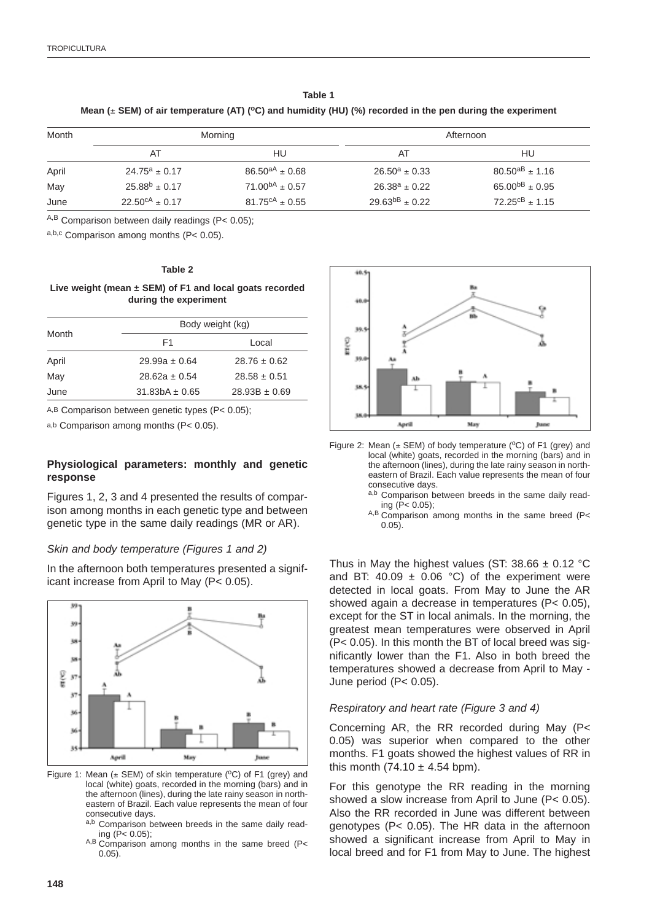| Table 1                                                                                                        |
|----------------------------------------------------------------------------------------------------------------|
| Mean ( $\pm$ SEM) of air temperature (AT) (°C) and humidity (HU) (%) recorded in the pen during the experiment |

| Month | Morning                      |                              | Afternoon             |                            |
|-------|------------------------------|------------------------------|-----------------------|----------------------------|
|       | AT                           | HU                           | AT                    | HU                         |
| April | $24.75^a \pm 0.17$           | $86.50^{aA} \pm 0.68$        | $26.50^a \pm 0.33$    | $80.50^{aB} \pm 1.16$      |
| May   | $25.88^{b} \pm 0.17$         | $71.00^{bA} \pm 0.57$        | $26.38^a \pm 0.22$    | 65.00 <sup>bB</sup> ± 0.95 |
| June  | $22.50^{\text{cA}} \pm 0.17$ | $81.75^{\text{cA}} \pm 0.55$ | $29.63^{bB} \pm 0.22$ | $72.25^{cB} \pm 1.15$      |

A,B Comparison between daily readings (P< 0.05);

a,b,c Comparison among months (P< 0.05).

#### **Table 2**

**Live weight (mean ± SEM) of F1 and local goats recorded during the experiment**

| Body weight (kg)  |                   |  |  |  |
|-------------------|-------------------|--|--|--|
| F1                | Local             |  |  |  |
| $29.99a \pm 0.64$ | $28.76 \pm 0.62$  |  |  |  |
| $28.62a + 0.54$   | $28.58 \pm 0.51$  |  |  |  |
| $31.83bA + 0.65$  | $28.93B \pm 0.69$ |  |  |  |
|                   |                   |  |  |  |

A,B Comparison between genetic types (P< 0.05);

a,b Comparison among months (P< 0.05).

#### **Physiological parameters: monthly and genetic response**

Figures 1, 2, 3 and 4 presented the results of comparison among months in each genetic type and between genetic type in the same daily readings (MR or AR).

#### Skin and body temperature (Figures 1 and 2)

In the afternoon both temperatures presented a significant increase from April to May (P< 0.05).



Figure 1: Mean ( $\pm$  SEM) of skin temperature (°C) of F1 (grey) and local (white) goats, recorded in the morning (bars) and in the afternoon (lines), during the late rainy season in northeastern of Brazil. Each value represents the mean of four consecutive days.

- Comparison between breeds in the same daily reading (P< 0.05);
- A,B Comparison among months in the same breed (P< 0.05).



- Figure 2: Mean ( $\pm$  SEM) of body temperature ( $\degree$ C) of F1 (grey) and local (white) goats, recorded in the morning (bars) and in the afternoon (lines), during the late rainy season in northeastern of Brazil. Each value represents the mean of four consecutive days.
	- a,b Comparison between breeds in the same daily reading (P< 0.05);
	- A,B Comparison among months in the same breed (P< 0.05).

Thus in May the highest values (ST:  $38.66 \pm 0.12$  °C and BT: 40.09  $\pm$  0.06 °C) of the experiment were detected in local goats. From May to June the AR showed again a decrease in temperatures (P< 0.05), except for the ST in local animals. In the morning, the greatest mean temperatures were observed in April (P< 0.05). In this month the BT of local breed was significantly lower than the F1. Also in both breed the temperatures showed a decrease from April to May - June period (P< 0.05).

#### Respiratory and heart rate (Figure 3 and 4)

Concerning AR, the RR recorded during May (P< 0.05) was superior when compared to the other months. F1 goats showed the highest values of RR in this month  $(74.10 \pm 4.54$  bpm).

For this genotype the RR reading in the morning showed a slow increase from April to June (P< 0.05). Also the RR recorded in June was different between genotypes (P< 0.05). The HR data in the afternoon showed a significant increase from April to May in local breed and for F1 from May to June. The highest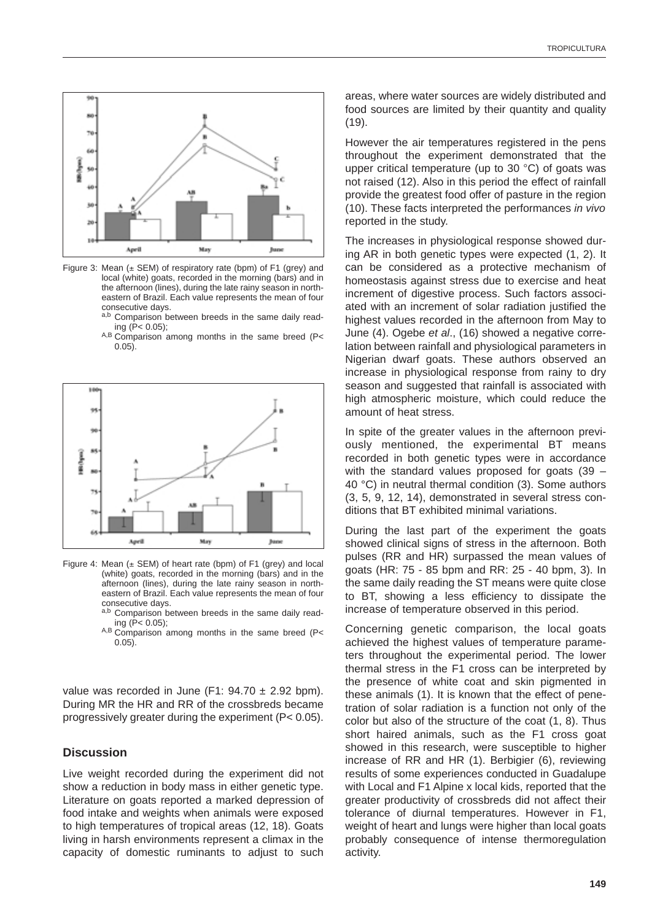

Figure 3: Mean  $(\pm$  SEM) of respiratory rate (bpm) of F1 (grey) and local (white) goats, recorded in the morning (bars) and in the afternoon (lines), during the late rainy season in northeastern of Brazil. Each value represents the mean of four consecutive days.

- a,b Comparison between breeds in the same daily reading (P< 0.05);
- A,B Comparison among months in the same breed (P< 0.05).



Figure 4: Mean  $(±$  SEM) of heart rate (bpm) of F1 (grey) and local (white) goats, recorded in the morning (bars) and in the afternoon (lines), during the late rainy season in northeastern of Brazil. Each value represents the mean of four consecutive days.

- a,b Comparison between breeds in the same daily reading (P< 0.05);
- $A,B$  Comparison among months in the same breed (P<  $0.05$ ).

value was recorded in June (F1:  $94.70 \pm 2.92$  bpm). During MR the HR and RR of the crossbreds became progressively greater during the experiment (P< 0.05).

# **Discussion**

Live weight recorded during the experiment did not show a reduction in body mass in either genetic type. Literature on goats reported a marked depression of food intake and weights when animals were exposed to high temperatures of tropical areas (12, 18). Goats living in harsh environments represent a climax in the capacity of domestic ruminants to adjust to such areas, where water sources are widely distributed and food sources are limited by their quantity and quality (19).

However the air temperatures registered in the pens throughout the experiment demonstrated that the upper critical temperature (up to 30 °C) of goats was not raised (12). Also in this period the effect of rainfall provide the greatest food offer of pasture in the region (10). These facts interpreted the performances in vivo reported in the study.

The increases in physiological response showed during AR in both genetic types were expected (1, 2). It can be considered as a protective mechanism of homeostasis against stress due to exercise and heat increment of digestive process. Such factors associated with an increment of solar radiation justified the highest values recorded in the afternoon from May to June (4). Ogebe et al., (16) showed a negative correlation between rainfall and physiological parameters in Nigerian dwarf goats. These authors observed an increase in physiological response from rainy to dry season and suggested that rainfall is associated with high atmospheric moisture, which could reduce the amount of heat stress.

In spite of the greater values in the afternoon previously mentioned, the experimental BT means recorded in both genetic types were in accordance with the standard values proposed for goats (39 – 40 °C) in neutral thermal condition (3). Some authors (3, 5, 9, 12, 14), demonstrated in several stress conditions that BT exhibited minimal variations.

During the last part of the experiment the goats showed clinical signs of stress in the afternoon. Both pulses (RR and HR) surpassed the mean values of goats (HR: 75 - 85 bpm and RR: 25 - 40 bpm, 3). In the same daily reading the ST means were quite close to BT, showing a less efficiency to dissipate the increase of temperature observed in this period.

Concerning genetic comparison, the local goats achieved the highest values of temperature parameters throughout the experimental period. The lower thermal stress in the F1 cross can be interpreted by the presence of white coat and skin pigmented in these animals (1). It is known that the effect of penetration of solar radiation is a function not only of the color but also of the structure of the coat (1, 8). Thus short haired animals, such as the F1 cross goat showed in this research, were susceptible to higher increase of RR and HR (1). Berbigier (6), reviewing results of some experiences conducted in Guadalupe with Local and F1 Alpine x local kids, reported that the greater productivity of crossbreds did not affect their tolerance of diurnal temperatures. However in F1, weight of heart and lungs were higher than local goats probably consequence of intense thermoregulation activity.